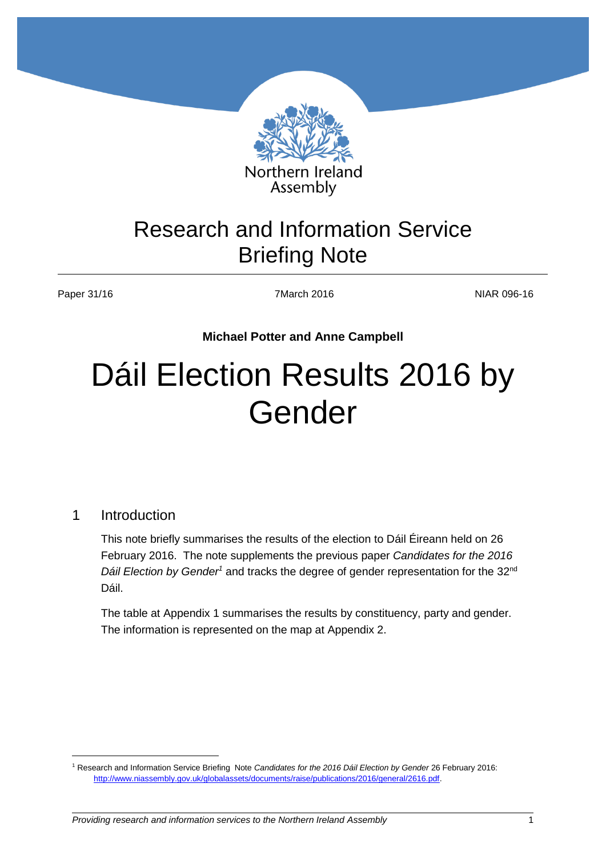

# Research and Information Service Briefing Note

Paper 31/16 **NIAR 096-16** 7March 2016 **7March 2016** NIAR 096-16

**Michael Potter and Anne Campbell**

# Dáil Election Results 2016 by Gender

#### 1 Introduction

 $\overline{a}$ 

This note briefly summarises the results of the election to Dáil Éireann held on 26 February 2016. The note supplements the previous paper *Candidates for the 2016 Dáil Election by Gender<sup>1</sup>* and tracks the degree of gender representation for the 32nd Dáil.

The table at Appendix 1 summarises the results by constituency, party and gender. The information is represented on the map at Appendix 2.

<sup>1</sup> Research and Information Service Briefing Note *Candidates for the 2016 Dáil Election by Gender* 26 February 2016: [http://www.niassembly.gov.uk/globalassets/documents/raise/publications/2016/general/2616.pdf.](http://www.niassembly.gov.uk/globalassets/documents/raise/publications/2016/general/2616.pdf)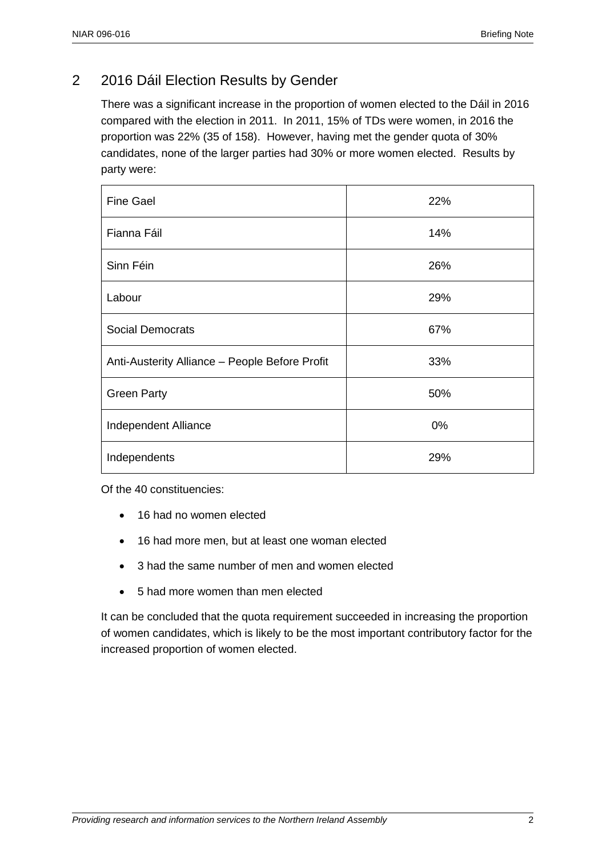### 2 2016 Dáil Election Results by Gender

There was a significant increase in the proportion of women elected to the Dáil in 2016 compared with the election in 2011. In 2011, 15% of TDs were women, in 2016 the proportion was 22% (35 of 158). However, having met the gender quota of 30% candidates, none of the larger parties had 30% or more women elected. Results by party were:

| <b>Fine Gael</b>                               | 22% |
|------------------------------------------------|-----|
| Fianna Fáil                                    | 14% |
| Sinn Féin                                      | 26% |
| Labour                                         | 29% |
| <b>Social Democrats</b>                        | 67% |
| Anti-Austerity Alliance - People Before Profit | 33% |
| <b>Green Party</b>                             | 50% |
| Independent Alliance                           | 0%  |
| Independents                                   | 29% |

Of the 40 constituencies:

- 16 had no women elected
- 16 had more men, but at least one woman elected
- 3 had the same number of men and women elected
- 5 had more women than men elected

It can be concluded that the quota requirement succeeded in increasing the proportion of women candidates, which is likely to be the most important contributory factor for the increased proportion of women elected.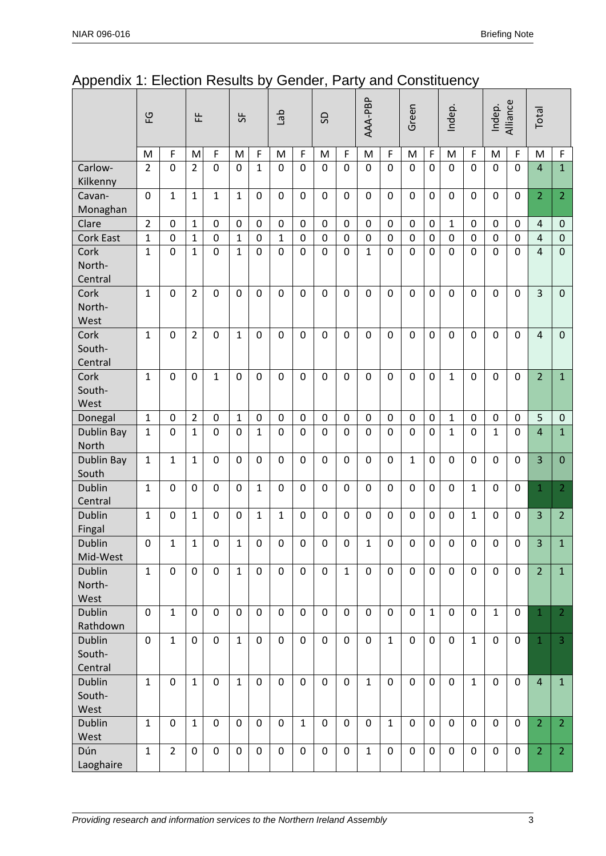|                                    | 오              |                |                |                  | 뚠              |                  |              |                  | del              |              | S                |                  | AAA-PBP          |              | Green          |                | Indep.         |                | Indep.         | Alliance         | Total |  |
|------------------------------------|----------------|----------------|----------------|------------------|----------------|------------------|--------------|------------------|------------------|--------------|------------------|------------------|------------------|--------------|----------------|----------------|----------------|----------------|----------------|------------------|-------|--|
|                                    | M              | F              | M              | F                | M              | $\mathsf F$      | M            | F                | M                | F            | M                | F                | M                | $\mathsf F$  | M              | $\mathsf F$    | M              | F              | M              | $\mathsf F$      |       |  |
| Carlow-<br>Kilkenny                | $\overline{2}$ | $\mathbf 0$    | $\overline{2}$ | $\mathbf 0$      | $\mathbf 0$    | $\mathbf{1}$     | $\mathbf 0$  | $\mathbf 0$      | $\mathbf 0$      | $\mathbf 0$  | $\mathbf 0$      | $\mathbf 0$      | $\mathbf 0$      | $\mathbf 0$  | $\mathbf 0$    | $\mathbf 0$    | $\mathbf 0$    | $\mathbf 0$    | $\overline{4}$ | $\mathbf{1}$     |       |  |
| Cavan-<br>Monaghan                 | $\mathbf 0$    | $\mathbf{1}$   | $\mathbf{1}$   | $\mathbf{1}$     | $\mathbf{1}$   | 0                | $\mathbf 0$  | $\mathbf 0$      | $\mathbf 0$      | $\mathbf 0$  | $\mathbf 0$      | $\mathbf 0$      | 0                | $\mathbf 0$  | $\mathbf 0$    | $\mathbf 0$    | $\mathbf 0$    | 0              | $\overline{2}$ | $\overline{2}$   |       |  |
| Clare                              | $\overline{2}$ | 0              | $\mathbf{1}$   | 0                | 0              | 0                | $\mathbf 0$  | $\mathbf 0$      | $\mathbf 0$      | $\mathbf 0$  | $\mathbf 0$      | 0                | 0                | $\mathbf 0$  | $\mathbf{1}$   | $\mathbf 0$    | $\mathbf 0$    | 0              | 4              | $\boldsymbol{0}$ |       |  |
| <b>Cork East</b>                   | $\mathbf{1}$   | $\mathbf 0$    | $\mathbf{1}$   | $\mathbf 0$      | $\mathbf{1}$   | $\mathbf 0$      | $\mathbf 1$  | $\overline{0}$   | $\mathbf 0$      | $\mathbf 0$  | $\mathbf 0$      | $\mathbf 0$      | $\mathbf 0$      | $\mathbf 0$  | $\mathbf 0$    | $\mathbf 0$    | $\overline{0}$ | $\overline{0}$ | $\overline{4}$ | $\mathbf 0$      |       |  |
| Cork<br>North-<br>Central          | $\mathbf{1}$   | $\overline{0}$ | $\mathbf{1}$   | $\Omega$         | $\mathbf{1}$   | $\overline{0}$   | $\Omega$     | $\mathbf 0$      | $\mathbf 0$      | $\Omega$     | $\mathbf{1}$     | $\Omega$         | $\Omega$         | $\mathbf{0}$ | $\overline{0}$ | $\overline{0}$ | $\Omega$       | $\overline{0}$ | $\overline{4}$ | $\overline{0}$   |       |  |
| Cork<br>North-<br>West             | $\mathbf{1}$   | 0              | $\overline{2}$ | $\mathbf{0}$     | $\mathbf 0$    | $\mathbf 0$      | $\mathbf 0$  | $\mathbf 0$      | $\mathbf 0$      | $\mathbf 0$  | $\mathbf 0$      | $\mathbf 0$      | $\mathbf 0$      | $\mathbf 0$  | $\mathbf 0$    | $\mathbf 0$    | $\mathbf 0$    | $\mathbf 0$    | 3              | $\mathbf 0$      |       |  |
| Cork<br>South-<br>Central          | $\mathbf{1}$   | $\mathbf 0$    | $\overline{2}$ | $\mathbf 0$      | $\mathbf{1}$   | $\mathbf 0$      | $\mathbf 0$  | $\mathbf 0$      | $\mathbf 0$      | $\mathbf 0$  | $\mathbf 0$      | $\mathbf 0$      | $\mathbf 0$      | $\mathbf{0}$ | $\mathbf 0$    | $\mathbf 0$    | $\mathbf 0$    | $\mathbf 0$    | $\overline{4}$ | $\mathbf 0$      |       |  |
| Cork<br>South-<br>West             | $\mathbf{1}$   | $\mathbf 0$    | $\mathbf 0$    | $\mathbf{1}$     | $\mathbf 0$    | 0                | $\mathbf 0$  | $\mathbf 0$      | $\mathbf 0$      | $\mathbf 0$  | $\mathbf 0$      | $\mathbf{0}$     | $\mathbf 0$      | $\mathbf{0}$ | $\mathbf{1}$   | $\mathbf 0$    | $\mathbf 0$    | $\mathbf 0$    | $\overline{2}$ | $\mathbf{1}$     |       |  |
| Donegal                            | $\mathbf{1}$   | 0              | $\overline{2}$ | 0                | $\mathbf{1}$   | 0                | 0            | $\mathbf 0$      | 0                | $\mathbf 0$  | $\boldsymbol{0}$ | 0                | 0                | $\mathbf 0$  | $\mathbf{1}$   | $\mathbf 0$    | 0              | 0              | 5              | $\boldsymbol{0}$ |       |  |
| Dublin Bay<br>North                | $\mathbf{1}$   | $\overline{0}$ | $\mathbf{1}$   | $\mathbf 0$      | $\overline{0}$ | $\mathbf{1}$     | $\mathbf 0$  | $\mathbf 0$      | $\mathbf 0$      | $\Omega$     | $\mathbf 0$      | $\mathbf{0}$     | $\mathbf 0$      | $\mathbf{0}$ | $\mathbf{1}$   | $\mathbf 0$    | $\mathbf{1}$   | $\mathbf 0$    | $\overline{4}$ | $\mathbf{1}$     |       |  |
| Dublin Bay<br>South                | $\mathbf{1}$   | $\mathbf{1}$   | $\mathbf{1}$   | $\mathbf{0}$     | $\mathbf 0$    | $\mathbf 0$      | $\mathbf 0$  | $\mathbf 0$      | $\mathbf 0$      | $\mathbf 0$  | $\mathbf 0$      | $\mathbf 0$      | $\mathbf{1}$     | $\mathbf 0$  | $\mathbf 0$    | $\mathbf 0$    | $\mathbf 0$    | $\mathbf 0$    | 3              | $\mathbf{0}$     |       |  |
| <b>Dublin</b><br>Central           | $\mathbf{1}$   | $\mathbf 0$    | $\mathbf 0$    | $\mathbf 0$      | $\mathbf 0$    | $\mathbf{1}$     | $\mathbf 0$  | $\mathbf 0$      | $\mathbf 0$      | $\mathbf 0$  | $\mathbf 0$      | $\mathbf{0}$     | $\mathbf 0$      | $\mathbf 0$  | $\mathbf 0$    | $\mathbf{1}$   | $\mathbf 0$    | $\mathbf 0$    | $\mathbf 1$    | $\overline{2}$   |       |  |
| <b>Dublin</b><br>Fingal            | $\mathbf{1}$   | $\mathbf 0$    | $\mathbf{1}$   | $\Omega$         | $\mathbf 0$    | $\mathbf{1}$     | $\mathbf{1}$ | $\mathbf 0$      | $\mathbf 0$      | $\Omega$     | $\mathbf 0$      | $\mathbf 0$      | $\Omega$         | $\mathbf 0$  | $\Omega$       | $\mathbf{1}$   | $\mathbf 0$    | $\Omega$       | 3              | $\overline{2}$   |       |  |
| Dublin<br>Mid-West                 | 0              | $\mathbf 1$    | $\mathbf 1$    | $\boldsymbol{0}$ | $\mathbf 1$    | $\boldsymbol{0}$ | $\mathbf 0$  | $\boldsymbol{0}$ | $\boldsymbol{0}$ | $\mathbf 0$  | $\mathbf{1}$     | $\boldsymbol{0}$ | $\boldsymbol{0}$ | $\mathbf 0$  | $\mathbf 0$    | $\mathbf 0$    | $\mathbf 0$    | $\mathbf 0$    | 3              | $\mathbf{1}$     |       |  |
| <b>Dublin</b><br>North-<br>West    | $\mathbf{1}$   | $\mathbf 0$    | $\mathbf 0$    | $\mathbf 0$      | $\mathbf{1}$   | $\mathbf 0$      | $\mathbf 0$  | $\mathbf 0$      | $\mathbf 0$      | $\mathbf{1}$ | $\mathbf 0$      | $\mathbf{0}$     | $\mathbf 0$      | $\mathbf{0}$ | $\mathbf 0$    | $\mathbf 0$    | $\mathbf 0$    | $\mathbf 0$    | $\overline{2}$ | $\mathbf{1}$     |       |  |
| <b>Dublin</b><br>Rathdown          | $\mathbf 0$    | $\mathbf{1}$   | $\mathbf 0$    | $\mathbf 0$      | $\overline{0}$ | $\overline{0}$   | $\mathbf 0$  | $\mathbf 0$      | $\mathbf 0$      | $\mathbf 0$  | $\mathbf 0$      | $\mathbf{0}$     | $\mathbf 0$      | $\mathbf{1}$ | $\overline{0}$ | $\overline{0}$ | $\mathbf{1}$   | $\overline{0}$ | $\mathbf{1}$   | $\overline{2}$   |       |  |
| <b>Dublin</b><br>South-<br>Central | $\mathbf 0$    | $\mathbf{1}$   | $\mathbf 0$    | $\mathbf 0$      | $\mathbf{1}$   | $\mathbf 0$      | $\mathbf 0$  | $\mathbf 0$      | $\mathbf 0$      | $\mathbf 0$  | $\mathbf 0$      | $\mathbf{1}$     | $\mathbf 0$      | $\mathbf 0$  | $\mathbf 0$    | $\mathbf{1}$   | $\mathbf 0$    | $\mathbf 0$    | $\mathbf 1$    | $\overline{3}$   |       |  |
| <b>Dublin</b><br>South-<br>West    | $\mathbf{1}$   | $\mathbf{0}$   | $\mathbf{1}$   | $\mathbf 0$      | $\mathbf{1}$   | 0                | $\mathbf 0$  | $\mathbf 0$      | $\mathbf 0$      | $\mathbf{0}$ | $\mathbf{1}$     | $\mathbf{0}$     | $\mathbf 0$      | $\mathbf{0}$ | $\mathbf 0$    | $\mathbf{1}$   | $\mathbf{0}$   | $\mathbf 0$    | $\overline{4}$ | $\mathbf{1}$     |       |  |
| <b>Dublin</b><br>West              | $\mathbf{1}$   | $\mathbf 0$    | $\mathbf{1}$   | $\mathbf 0$      | $\mathbf 0$    | $\mathbf 0$      | $\mathbf 0$  | $\mathbf{1}$     | $\mathbf 0$      | $\mathbf 0$  | $\mathbf 0$      | $\mathbf{1}$     | $\mathbf 0$      | $\mathbf 0$  | $\mathbf 0$    | $\mathbf 0$    | $\mathbf 0$    | $\mathbf 0$    | $\overline{2}$ | 2 <sup>1</sup>   |       |  |
| Dún<br>Laoghaire                   | $\mathbf{1}$   | $\overline{2}$ | $\mathbf 0$    | $\mathbf 0$      | $\mathbf 0$    | $\mathbf 0$      | $\mathbf 0$  | $\mathbf 0$      | $\mathbf 0$      | $\mathbf 0$  | $\mathbf{1}$     | $\mathbf 0$      | $\mathbf 0$      | $\mathbf 0$  | $\mathbf 0$    | $\mathbf 0$    | $\mathbf{0}$   | $\mathbf 0$    | $\overline{2}$ | 2 <sup>1</sup>   |       |  |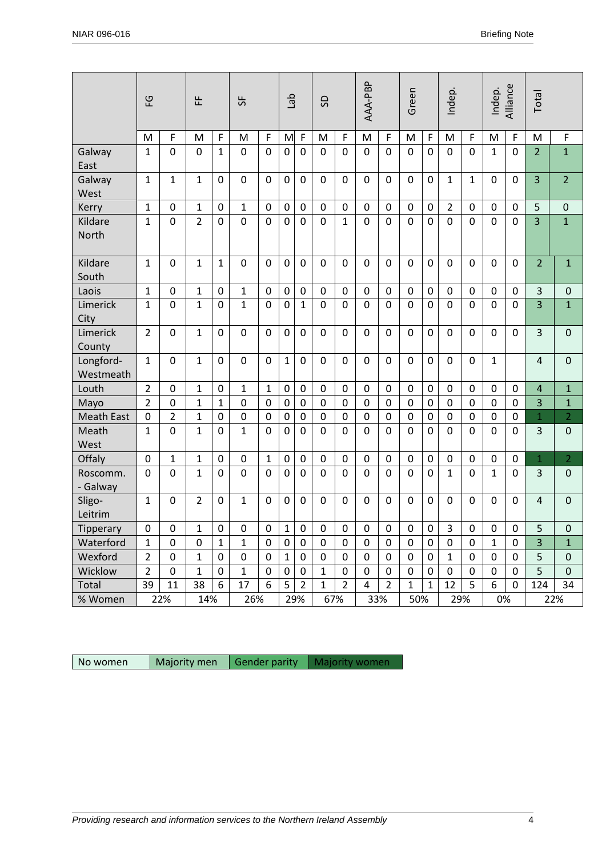|                                                                              | 잎<br>뚠         |                  |                  | 55               |                      | del            |                | SD             |                  | AAA-PBP        |                | Green            |                  | Indep.           |                | Alliance<br>Indep. |                         | Total            |                |                  |
|------------------------------------------------------------------------------|----------------|------------------|------------------|------------------|----------------------|----------------|----------------|----------------|------------------|----------------|----------------|------------------|------------------|------------------|----------------|--------------------|-------------------------|------------------|----------------|------------------|
|                                                                              | M              | F                | M                | $\mathsf F$      | M                    | F              | M              | F              | M                | F              | M              | F                | M                | $\mathsf F$      | M              | F                  | M                       | F                | M              | F                |
| Galway<br>East                                                               | $\mathbf{1}$   | $\mathbf 0$      | $\mathbf 0$      | $\mathbf{1}$     | 0                    | $\mathbf 0$    | 0              | $\mathbf 0$    | $\mathbf 0$      | $\mathbf 0$    | $\mathbf 0$    | $\overline{0}$   | $\mathbf 0$      | $\overline{0}$   | $\mathbf 0$    | $\mathbf 0$        | 1                       | $\mathbf 0$      | $\overline{2}$ | $\mathbf{1}$     |
| Galway<br>West                                                               | $\mathbf{1}$   | $\mathbf{1}$     | $\mathbf{1}$     | $\mathbf 0$      | 0                    | $\mathbf 0$    | $\mathbf 0$    | $\mathbf 0$    | $\mathbf 0$      | $\mathbf 0$    | $\mathbf 0$    | $\mathbf 0$      | $\mathbf 0$      | $\mathbf 0$      | $\mathbf{1}$   | $\mathbf{1}$       | $\mathbf 0$             | $\mathbf 0$      | $\overline{3}$ | $\overline{2}$   |
| Kerry                                                                        | $\mathbf{1}$   | $\mathbf 0$      | $\mathbf{1}$     | $\mathbf 0$      | $\mathbf{1}$         | $\mathbf 0$    | $\mathbf 0$    | $\pmb{0}$      | $\mathbf 0$      | $\mathbf 0$    | $\mathbf 0$    | $\mathbf 0$      | 0                | $\mathbf 0$      | $\overline{2}$ | $\mathbf 0$        | $\mathbf 0$             | $\mathbf 0$      | 5              | $\mathbf 0$      |
| Kildare<br>North                                                             | $\mathbf{1}$   | $\overline{0}$   | $\overline{2}$   | $\overline{0}$   | $\overline{0}$       | $\overline{0}$ | $\mathbf 0$    | $\mathbf 0$    | $\mathbf 0$      | $\mathbf{1}$   | $\overline{0}$ | $\overline{0}$   | $\overline{0}$   | $\overline{0}$   | $\overline{0}$ | $\overline{0}$     | $\mathbf 0$             | $\overline{0}$   | $\overline{3}$ | $\overline{1}$   |
| Kildare<br>South                                                             | $\mathbf{1}$   | $\mathbf 0$      | $\mathbf{1}$     | $\mathbf{1}$     | 0                    | $\mathbf 0$    | $\mathbf 0$    | $\mathbf 0$    | $\mathbf 0$      | $\mathbf 0$    | $\mathbf 0$    | $\mathbf 0$      | 0                | $\mathbf 0$      | $\mathbf 0$    | $\mathbf 0$        | $\mathbf 0$             | $\mathbf 0$      | $\overline{2}$ | $\mathbf{1}$     |
| Laois                                                                        | $\mathbf{1}$   | $\boldsymbol{0}$ | 1                | $\mathbf 0$      | 1                    | 0              | $\mathbf 0$    | $\pmb{0}$      | $\pmb{0}$        | 0              | $\mathbf 0$    | $\boldsymbol{0}$ | 0                | $\mathbf 0$      | 0              | $\mathbf 0$        | 0                       | 0                | 3              | $\boldsymbol{0}$ |
| Limerick<br>City                                                             | $\mathbf{1}$   | $\mathbf 0$      | 1                | 0                | $\mathbf{1}$         | $\mathbf{0}$   | $\mathbf 0$    | $\mathbf{1}$   | $\mathbf{0}$     | $\mathbf 0$    | $\Omega$       | 0                | $\Omega$         | 0                | $\mathbf{0}$   | $\Omega$           | $\Omega$                | $\Omega$         | 3              | $\mathbf{1}$     |
| Limerick<br>County                                                           | $\overline{2}$ | $\mathbf 0$      | $\mathbf{1}$     | $\mathbf 0$      | $\overline{0}$       | $\Omega$       | $\overline{0}$ | $\mathbf 0$    | $\mathbf 0$      | $\mathbf{0}$   | $\mathbf 0$    | $\mathbf 0$      | $\overline{0}$   | $\mathbf{0}$     | $\overline{0}$ | $\mathbf 0$        | $\overline{0}$          | $\Omega$         | 3              | $\mathbf 0$      |
| Longford-<br>Westmeath                                                       | $\mathbf{1}$   | $\mathbf 0$      | $\mathbf{1}$     | $\mathbf 0$      | 0                    | $\mathbf 0$    | 1              | $\mathbf 0$    | $\mathbf 0$      | $\mathbf 0$    | $\mathbf 0$    | $\mathbf 0$      | $\mathbf 0$      | $\mathbf 0$      | 0              | $\mathbf 0$        | $\mathbf{1}$            |                  | $\overline{4}$ | $\mathbf 0$      |
| Louth                                                                        | $\overline{2}$ | $\mathbf 0$      | 1                | $\mathbf 0$      | $\mathbf{1}$         | $\mathbf{1}$   | $\mathbf 0$    | $\mathbf 0$    | $\pmb{0}$        | $\mathbf 0$    | $\mathbf 0$    | $\mathbf 0$      | 0                | $\mathbf 0$      | 0              | $\mathbf 0$        | $\mathbf 0$             | $\mathbf 0$      | $\overline{4}$ | $\mathbf{1}$     |
| Mayo                                                                         | $\overline{2}$ | $\mathbf 0$      | 1                | $\mathbf{1}$     | 0                    | $\mathbf 0$    | $\mathbf 0$    | $\mathbf 0$    | $\mathbf 0$      | $\mathbf 0$    | $\mathbf 0$    | $\mathbf 0$      | 0                | 0                | $\mathbf 0$    | $\mathbf 0$        | $\mathbf 0$             | $\mathbf 0$      | 3              | $\mathbf{1}$     |
| <b>Meath East</b>                                                            | $\mathbf 0$    | $\overline{2}$   | $\mathbf{1}$     | $\mathbf 0$      | 0                    | $\mathbf 0$    | $\mathbf 0$    | $\pmb{0}$      | $\mathbf 0$      | $\mathbf 0$    | $\mathbf 0$    | $\mathbf 0$      | $\mathbf 0$      | $\mathbf 0$      | $\mathbf 0$    | $\mathbf 0$        | $\mathbf 0$             | $\mathbf 0$      | $\mathbf{1}$   | $\overline{2}$   |
| Meath<br>West                                                                | $\mathbf{1}$   | $\overline{0}$   | $\mathbf{1}$     | $\mathbf 0$      | $\mathbf{1}$         | $\overline{0}$ | $\overline{0}$ | $\mathbf 0$    | $\overline{0}$   | $\mathbf 0$    | $\overline{0}$ | $\mathbf 0$      | $\mathbf 0$      | $\overline{0}$   | $\overline{0}$ | $\overline{0}$     | $\mathbf 0$             | $\Omega$         | 3              | $\mathbf 0$      |
| Offaly                                                                       | $\mathbf 0$    | $\mathbf{1}$     | $\mathbf{1}$     | $\overline{0}$   | 0                    | $\mathbf{1}$   | $\mathbf 0$    | $\mathbf 0$    | $\mathbf 0$      | $\mathbf 0$    | $\overline{0}$ | $\mathbf 0$      | $\mathbf 0$      | $\mathbf 0$      | $\mathbf 0$    | $\mathbf 0$        | $\mathbf 0$             | $\mathbf 0$      | $\mathbf{1}$   | $\overline{2}$   |
| Roscomm.<br>- Galway                                                         | $\mathbf 0$    | $\mathbf 0$      | $\mathbf{1}$     | 0                | 0                    | $\mathbf 0$    | $\mathbf 0$    | 0              | $\mathbf 0$      | $\mathbf 0$    | $\mathbf 0$    | $\mathbf 0$      | 0                | 0                | 1              | $\mathbf 0$        | 1                       | $\Omega$         | 3              | $\mathbf 0$      |
| Sligo-<br>Leitrim                                                            | $\mathbf{1}$   | $\overline{0}$   | $\overline{2}$   | $\mathbf 0$      | $\mathbf{1}$         | $\mathbf 0$    | $\overline{0}$ | $\mathbf 0$    | $\mathbf 0$      | $\mathbf{0}$   | $\mathbf 0$    | $\mathbf 0$      | $\overline{0}$   | $\overline{0}$   | $\overline{0}$ | $\mathbf 0$        | $\mathbf 0$             | $\mathbf 0$      | $\overline{4}$ | $\overline{0}$   |
| Tipperary                                                                    | $\mathbf 0$    | $\pmb{0}$        | $\mathbf 1$      | $\mathbf 0$      | $\pmb{0}$            | $\mathbf 0$    | $\vert$ 1      | $\mathbf 0$    | $\pmb{0}$        | $\mathbf 0$    | $\pmb{0}$      | $\mathbf 0$      | $\boldsymbol{0}$ | $\mathbf 0$      | $\overline{3}$ | $\mathbf 0$        | $\boldsymbol{0}$        | $\mathbf 0$      | 5              | 0                |
| Waterford                                                                    | $\mathbf{1}$   | $\pmb{0}$        | $\boldsymbol{0}$ | $\mathbf{1}$     | $\mathbf{1}$         | $\mathbf 0$    | $\mathbf 0$    | $\pmb{0}$      | $\pmb{0}$        | $\mathbf 0$    | $\pmb{0}$      | $\boldsymbol{0}$ | 0                | $\mathbf 0$      | $\pmb{0}$      | $\mathbf 0$        | $\mathbf{1}$            | $\boldsymbol{0}$ | $\overline{3}$ | $\mathbf{1}$     |
| Wexford                                                                      | $\overline{2}$ | $\pmb{0}$        | $\mathbf 1$      | $\boldsymbol{0}$ | $\boldsymbol{0}$     | $\mathbf 0$    | $\mathbf 1$    | $\pmb{0}$      | $\boldsymbol{0}$ | $\pmb{0}$      | $\pmb{0}$      | $\mathbf 0$      | $\boldsymbol{0}$ | $\mathbf 0$      | $\mathbf{1}$   | $\pmb{0}$          | $\boldsymbol{0}$        | $\mathbf 0$      | 5              | $\boldsymbol{0}$ |
| Wicklow                                                                      | $\overline{2}$ | $\pmb{0}$        | $\mathbf 1$      | $\boldsymbol{0}$ | 1                    | $\mathbf 0$    | $\pmb{0}$      | $\pmb{0}$      | $\mathbf 1$      | 0              | $\pmb{0}$      | $\pmb{0}$        | $\pmb{0}$        | $\boldsymbol{0}$ | $\pmb{0}$      | $\mathbf 0$        | $\pmb{0}$               | $\boldsymbol{0}$ | 5              | $\mathbf 0$      |
| Total                                                                        | 39             | 11               | 38               | 6                | 17                   | 6              | 5              | $\overline{2}$ | $\mathbf{1}$     | $\overline{2}$ | $\overline{4}$ | $\overline{2}$   | $\mathbf{1}$     | $\mathbf 1$      | 12             | 5                  | 6                       | $\boldsymbol{0}$ | 124            | 34               |
| % Women                                                                      |                | 22%              | 14%              |                  | 26%                  |                |                | 29%            | 67%              |                | 33%            |                  | 50%              |                  | 29%            |                    | $0\%$                   |                  |                | 22%              |
|                                                                              |                |                  |                  |                  |                      |                |                |                |                  |                |                |                  |                  |                  |                |                    |                         |                  |                |                  |
| No women                                                                     |                | Majority men     |                  |                  | <b>Gender parity</b> |                |                |                |                  |                | Majority women |                  |                  |                  |                |                    |                         |                  |                |                  |
|                                                                              |                |                  |                  |                  |                      |                |                |                |                  |                |                |                  |                  |                  |                |                    |                         |                  |                |                  |
|                                                                              |                |                  |                  |                  |                      |                |                |                |                  |                |                |                  |                  |                  |                |                    |                         |                  |                |                  |
| Providing research and information services to the Northern Ireland Assembly |                |                  |                  |                  |                      |                |                |                |                  |                |                |                  |                  |                  |                |                    | $\overline{\mathbf{4}}$ |                  |                |                  |